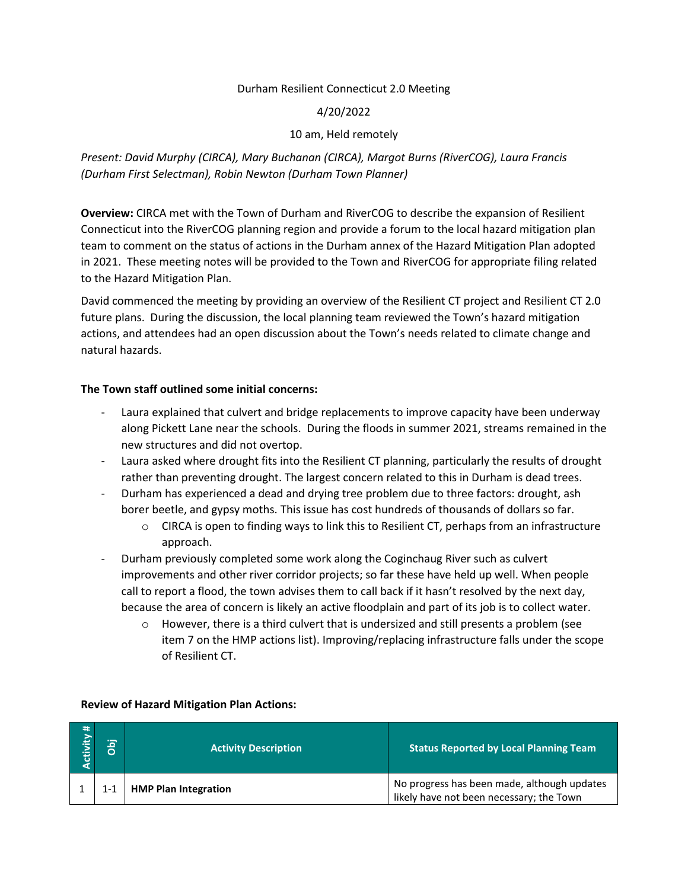### Durham Resilient Connecticut 2.0 Meeting

### 4/20/2022

### 10 am, Held remotely

# *Present: David Murphy (CIRCA), Mary Buchanan (CIRCA), Margot Burns (RiverCOG), Laura Francis (Durham First Selectman), Robin Newton (Durham Town Planner)*

**Overview:** CIRCA met with the Town of Durham and RiverCOG to describe the expansion of Resilient Connecticut into the RiverCOG planning region and provide a forum to the local hazard mitigation plan team to comment on the status of actions in the Durham annex of the Hazard Mitigation Plan adopted in 2021. These meeting notes will be provided to the Town and RiverCOG for appropriate filing related to the Hazard Mitigation Plan.

David commenced the meeting by providing an overview of the Resilient CT project and Resilient CT 2.0 future plans. During the discussion, the local planning team reviewed the Town's hazard mitigation actions, and attendees had an open discussion about the Town's needs related to climate change and natural hazards.

### **The Town staff outlined some initial concerns:**

- Laura explained that culvert and bridge replacements to improve capacity have been underway along Pickett Lane near the schools. During the floods in summer 2021, streams remained in the new structures and did not overtop.
- Laura asked where drought fits into the Resilient CT planning, particularly the results of drought rather than preventing drought. The largest concern related to this in Durham is dead trees.
- Durham has experienced a dead and drying tree problem due to three factors: drought, ash borer beetle, and gypsy moths. This issue has cost hundreds of thousands of dollars so far.
	- o CIRCA is open to finding ways to link this to Resilient CT, perhaps from an infrastructure approach.
- Durham previously completed some work along the Coginchaug River such as culvert improvements and other river corridor projects; so far these have held up well. When people call to report a flood, the town advises them to call back if it hasn't resolved by the next day, because the area of concern is likely an active floodplain and part of its job is to collect water.
	- $\circ$  However, there is a third culvert that is undersized and still presents a problem (see item 7 on the HMP actions list). Improving/replacing infrastructure falls under the scope of Resilient CT.

| $\rightarrow$<br>ctivity. | jqo     | <b>Activity Description</b> | <b>Status Reported by Local Planning Team</b>                                           |
|---------------------------|---------|-----------------------------|-----------------------------------------------------------------------------------------|
|                           | $1 - 1$ | <b>HMP Plan Integration</b> | No progress has been made, although updates<br>likely have not been necessary; the Town |

#### **Review of Hazard Mitigation Plan Actions:**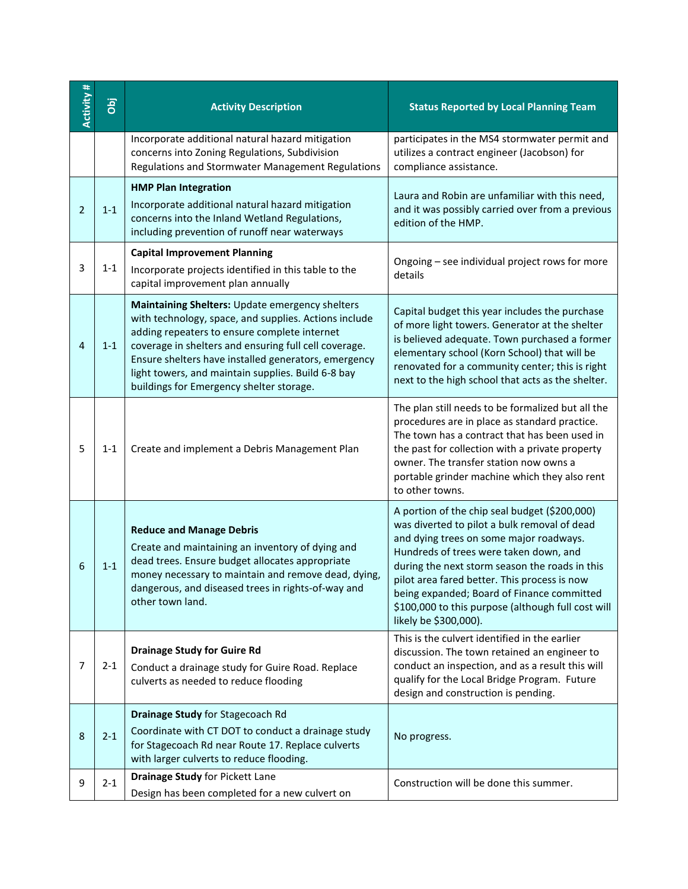| Activity#      | jqo     | <b>Activity Description</b>                                                                                                                                                                                                                                                                                                                                                 | <b>Status Reported by Local Planning Team</b>                                                                                                                                                                                                                                                                                                                                                                     |
|----------------|---------|-----------------------------------------------------------------------------------------------------------------------------------------------------------------------------------------------------------------------------------------------------------------------------------------------------------------------------------------------------------------------------|-------------------------------------------------------------------------------------------------------------------------------------------------------------------------------------------------------------------------------------------------------------------------------------------------------------------------------------------------------------------------------------------------------------------|
|                |         | Incorporate additional natural hazard mitigation<br>concerns into Zoning Regulations, Subdivision<br>Regulations and Stormwater Management Regulations                                                                                                                                                                                                                      | participates in the MS4 stormwater permit and<br>utilizes a contract engineer (Jacobson) for<br>compliance assistance.                                                                                                                                                                                                                                                                                            |
| $\overline{2}$ | $1 - 1$ | <b>HMP Plan Integration</b><br>Incorporate additional natural hazard mitigation<br>concerns into the Inland Wetland Regulations,<br>including prevention of runoff near waterways                                                                                                                                                                                           | Laura and Robin are unfamiliar with this need,<br>and it was possibly carried over from a previous<br>edition of the HMP.                                                                                                                                                                                                                                                                                         |
| 3              | $1 - 1$ | <b>Capital Improvement Planning</b><br>Incorporate projects identified in this table to the<br>capital improvement plan annually                                                                                                                                                                                                                                            | Ongoing - see individual project rows for more<br>details                                                                                                                                                                                                                                                                                                                                                         |
| 4              | $1 - 1$ | Maintaining Shelters: Update emergency shelters<br>with technology, space, and supplies. Actions include<br>adding repeaters to ensure complete internet<br>coverage in shelters and ensuring full cell coverage.<br>Ensure shelters have installed generators, emergency<br>light towers, and maintain supplies. Build 6-8 bay<br>buildings for Emergency shelter storage. | Capital budget this year includes the purchase<br>of more light towers. Generator at the shelter<br>is believed adequate. Town purchased a former<br>elementary school (Korn School) that will be<br>renovated for a community center; this is right<br>next to the high school that acts as the shelter.                                                                                                         |
| 5              | $1 - 1$ | Create and implement a Debris Management Plan                                                                                                                                                                                                                                                                                                                               | The plan still needs to be formalized but all the<br>procedures are in place as standard practice.<br>The town has a contract that has been used in<br>the past for collection with a private property<br>owner. The transfer station now owns a<br>portable grinder machine which they also rent<br>to other towns.                                                                                              |
| 6              | $1 - 1$ | <b>Reduce and Manage Debris</b><br>Create and maintaining an inventory of dying and<br>dead trees. Ensure budget allocates appropriate<br>money necessary to maintain and remove dead, dying,<br>dangerous, and diseased trees in rights-of-way and<br>other town land.                                                                                                     | A portion of the chip seal budget (\$200,000)<br>was diverted to pilot a bulk removal of dead<br>and dying trees on some major roadways.<br>Hundreds of trees were taken down, and<br>during the next storm season the roads in this<br>pilot area fared better. This process is now<br>being expanded; Board of Finance committed<br>\$100,000 to this purpose (although full cost will<br>likely be \$300,000). |
| 7              | $2 - 1$ | <b>Drainage Study for Guire Rd</b><br>Conduct a drainage study for Guire Road. Replace<br>culverts as needed to reduce flooding                                                                                                                                                                                                                                             | This is the culvert identified in the earlier<br>discussion. The town retained an engineer to<br>conduct an inspection, and as a result this will<br>qualify for the Local Bridge Program. Future<br>design and construction is pending.                                                                                                                                                                          |
| 8              | $2 - 1$ | Drainage Study for Stagecoach Rd<br>Coordinate with CT DOT to conduct a drainage study<br>for Stagecoach Rd near Route 17. Replace culverts<br>with larger culverts to reduce flooding.                                                                                                                                                                                     | No progress.                                                                                                                                                                                                                                                                                                                                                                                                      |
| 9              | $2 - 1$ | Drainage Study for Pickett Lane<br>Design has been completed for a new culvert on                                                                                                                                                                                                                                                                                           | Construction will be done this summer.                                                                                                                                                                                                                                                                                                                                                                            |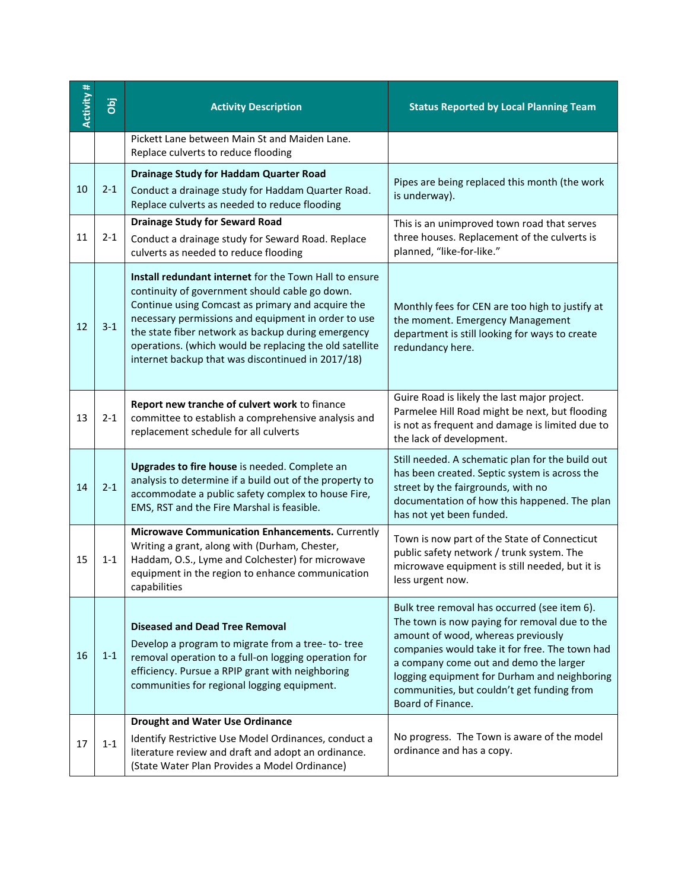| Activity # | jqo     | <b>Activity Description</b>                                                                                                                                                                                                                                                                                                                                                                       | <b>Status Reported by Local Planning Team</b>                                                                                                                                                                                                                                                                                                      |
|------------|---------|---------------------------------------------------------------------------------------------------------------------------------------------------------------------------------------------------------------------------------------------------------------------------------------------------------------------------------------------------------------------------------------------------|----------------------------------------------------------------------------------------------------------------------------------------------------------------------------------------------------------------------------------------------------------------------------------------------------------------------------------------------------|
|            |         | Pickett Lane between Main St and Maiden Lane.<br>Replace culverts to reduce flooding                                                                                                                                                                                                                                                                                                              |                                                                                                                                                                                                                                                                                                                                                    |
| 10         | $2 - 1$ | <b>Drainage Study for Haddam Quarter Road</b><br>Conduct a drainage study for Haddam Quarter Road.<br>Replace culverts as needed to reduce flooding                                                                                                                                                                                                                                               | Pipes are being replaced this month (the work<br>is underway).                                                                                                                                                                                                                                                                                     |
| 11         | $2 - 1$ | <b>Drainage Study for Seward Road</b><br>Conduct a drainage study for Seward Road. Replace<br>culverts as needed to reduce flooding                                                                                                                                                                                                                                                               | This is an unimproved town road that serves<br>three houses. Replacement of the culverts is<br>planned, "like-for-like."                                                                                                                                                                                                                           |
| 12         | $3 - 1$ | <b>Install redundant internet</b> for the Town Hall to ensure<br>continuity of government should cable go down.<br>Continue using Comcast as primary and acquire the<br>necessary permissions and equipment in order to use<br>the state fiber network as backup during emergency<br>operations. (which would be replacing the old satellite<br>internet backup that was discontinued in 2017/18) | Monthly fees for CEN are too high to justify at<br>the moment. Emergency Management<br>department is still looking for ways to create<br>redundancy here.                                                                                                                                                                                          |
| 13         | $2 - 1$ | Report new tranche of culvert work to finance<br>committee to establish a comprehensive analysis and<br>replacement schedule for all culverts                                                                                                                                                                                                                                                     | Guire Road is likely the last major project.<br>Parmelee Hill Road might be next, but flooding<br>is not as frequent and damage is limited due to<br>the lack of development.                                                                                                                                                                      |
| 14         | $2 - 1$ | Upgrades to fire house is needed. Complete an<br>analysis to determine if a build out of the property to<br>accommodate a public safety complex to house Fire,<br>EMS, RST and the Fire Marshal is feasible.                                                                                                                                                                                      | Still needed. A schematic plan for the build out<br>has been created. Septic system is across the<br>street by the fairgrounds, with no<br>documentation of how this happened. The plan<br>has not yet been funded.                                                                                                                                |
| 15         | $1 - 1$ | Microwave Communication Enhancements. Currently<br>Writing a grant, along with (Durham, Chester,<br>Haddam, O.S., Lyme and Colchester) for microwave<br>equipment in the region to enhance communication<br>capabilities                                                                                                                                                                          | Town is now part of the State of Connecticut<br>public safety network / trunk system. The<br>microwave equipment is still needed, but it is<br>less urgent now.                                                                                                                                                                                    |
| 16         | $1 - 1$ | <b>Diseased and Dead Tree Removal</b><br>Develop a program to migrate from a tree-to-tree<br>removal operation to a full-on logging operation for<br>efficiency. Pursue a RPIP grant with neighboring<br>communities for regional logging equipment.                                                                                                                                              | Bulk tree removal has occurred (see item 6).<br>The town is now paying for removal due to the<br>amount of wood, whereas previously<br>companies would take it for free. The town had<br>a company come out and demo the larger<br>logging equipment for Durham and neighboring<br>communities, but couldn't get funding from<br>Board of Finance. |
| 17         | $1 - 1$ | <b>Drought and Water Use Ordinance</b><br>Identify Restrictive Use Model Ordinances, conduct a<br>literature review and draft and adopt an ordinance.<br>(State Water Plan Provides a Model Ordinance)                                                                                                                                                                                            | No progress. The Town is aware of the model<br>ordinance and has a copy.                                                                                                                                                                                                                                                                           |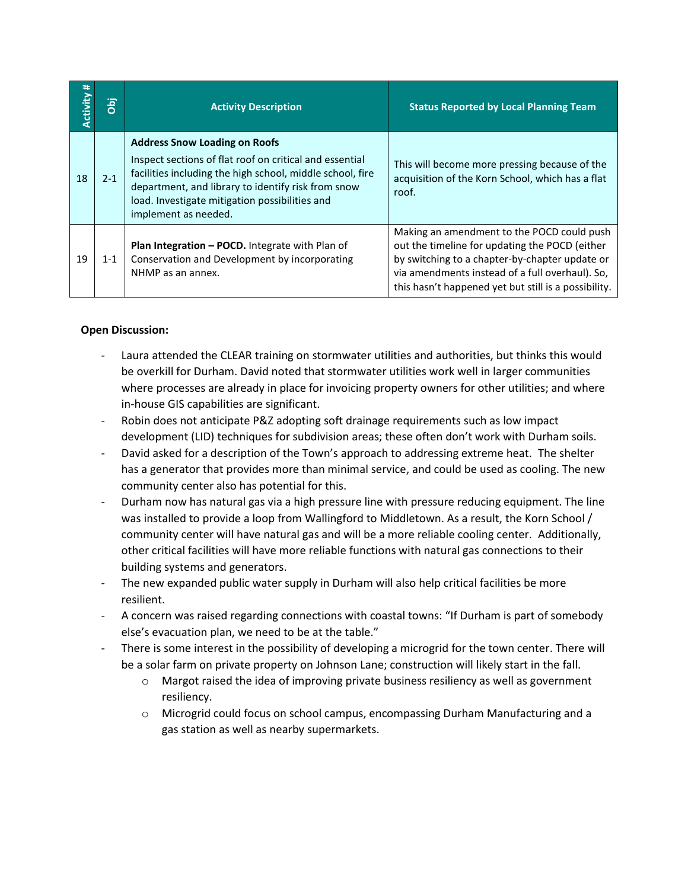| Activity # | ia<br>I | <b>Activity Description</b>                                                                                                                                                                                                                                                                  | <b>Status Reported by Local Planning Team</b>                                                                                                                                                                                                             |
|------------|---------|----------------------------------------------------------------------------------------------------------------------------------------------------------------------------------------------------------------------------------------------------------------------------------------------|-----------------------------------------------------------------------------------------------------------------------------------------------------------------------------------------------------------------------------------------------------------|
| 18         | $2 - 1$ | <b>Address Snow Loading on Roofs</b><br>Inspect sections of flat roof on critical and essential<br>facilities including the high school, middle school, fire<br>department, and library to identify risk from snow<br>load. Investigate mitigation possibilities and<br>implement as needed. | This will become more pressing because of the<br>acquisition of the Korn School, which has a flat<br>roof.                                                                                                                                                |
| 19         | $1 - 1$ | Plan Integration - POCD. Integrate with Plan of<br>Conservation and Development by incorporating<br>NHMP as an annex.                                                                                                                                                                        | Making an amendment to the POCD could push<br>out the timeline for updating the POCD (either<br>by switching to a chapter-by-chapter update or<br>via amendments instead of a full overhaul). So,<br>this hasn't happened yet but still is a possibility. |

# **Open Discussion:**

- Laura attended the CLEAR training on stormwater utilities and authorities, but thinks this would be overkill for Durham. David noted that stormwater utilities work well in larger communities where processes are already in place for invoicing property owners for other utilities; and where in-house GIS capabilities are significant.
- Robin does not anticipate P&Z adopting soft drainage requirements such as low impact development (LID) techniques for subdivision areas; these often don't work with Durham soils.
- David asked for a description of the Town's approach to addressing extreme heat. The shelter has a generator that provides more than minimal service, and could be used as cooling. The new community center also has potential for this.
- Durham now has natural gas via a high pressure line with pressure reducing equipment. The line was installed to provide a loop from Wallingford to Middletown. As a result, the Korn School / community center will have natural gas and will be a more reliable cooling center. Additionally, other critical facilities will have more reliable functions with natural gas connections to their building systems and generators.
- The new expanded public water supply in Durham will also help critical facilities be more resilient.
- A concern was raised regarding connections with coastal towns: "If Durham is part of somebody else's evacuation plan, we need to be at the table."
- There is some interest in the possibility of developing a microgrid for the town center. There will be a solar farm on private property on Johnson Lane; construction will likely start in the fall.
	- $\circ$  Margot raised the idea of improving private business resiliency as well as government resiliency.
	- $\circ$  Microgrid could focus on school campus, encompassing Durham Manufacturing and a gas station as well as nearby supermarkets.